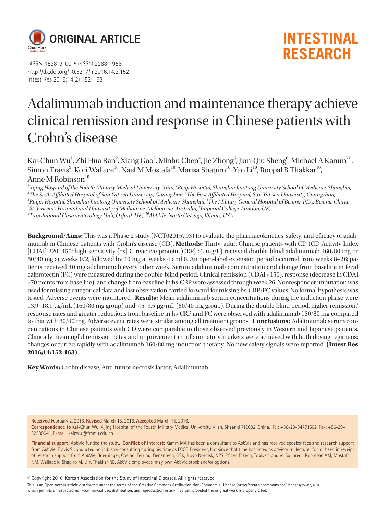

pISSN 1598-9100 • eISSN 2288-1956 http://dx.doi.org/10.5217/ir.2016.14.2.152 Intest Res 2016;14(2):152-163

# **INTESTINAL RESEARCH**

# Adalimumab induction and maintenance therapy achieve clinical remission and response in Chinese patients with Crohn's disease

Kai-Chun Wu<sup>1</sup>, Zhi Hua Ran<sup>2</sup>, Xiang Gao<sup>3</sup>, Minhu Chen<sup>4</sup>, Jie Zhong<sup>5</sup>, Jian-Qiu Sheng<sup>6</sup>, Michael A Kamm<sup>7,8</sup>, Simon Travis $^9$ , Kori Wallace $^{10}$ , Nael M Mostafa $^{10}$ , Marisa Shapiro $^{10}$ , Yao Li $^{10}$ , Roopal B Thakkar $^{10}$ , Anne M Robinson<sup>10</sup>

<sup>1</sup>Xijing Hospital of the Fourth Military Medical University, Xi'an, <sup>2</sup>Renji Hospital, Shanghai Jiaotong University School of Medicine, Shanghai,<br><sup>3</sup>The Sixth Affiliated Hospital of Sun Vet can University Cuangghou<sup>, 4</sup>Th *The Sixth Affiliated Hospital of Sun Yat-sen University, Guangzhou, 4 The First Affiliated Hospital, Sun Yat-sen University, Guangzhou, 5* <sup>5</sup>Ruijin Hospital, Shanghai Jiaotong University School of Medicine, Shanghai, <sup>6</sup>The Military General Hospital of Beijing, PLA, Beijing, China,<br><sup>7</sup>St. Vincart's Hospital and University of Melhourne, Melhourne, Australia, <sup>7</sup>St. Vincent's Hospital and University of Melbourne, Melbourne, Australia, <sup>8</sup>Imperial College, London, UK,<br><sup>9</sup>Translational Castrogutarology Unit Oxford, UK, <sup>10</sup>AbbVia, North Chicago, Illinois, USA *Translational Gastroenterology Unit, Oxford, UK, 10AbbVie, North Chicago, Illinois, USA* 

**Background/Aims:** This was a Phase 2 study (NCT02015793) to evaluate the pharmacokinetics, safety, and efficacy of adalimumab in Chinese patients with Crohn's disease (CD). **Methods:** Thirty, adult Chinese patients with CD (CD Activity Index [CDAI] 220–450; high-sensitivity [hs]-C-reactive protein [CRP] ≥3 mg/L) received double-blind adalimumab 160/80 mg or 80/40 mg at weeks 0/2, followed by 40 mg at weeks 4 and 6. An open-label extension period occurred from weeks 8–26; patients received 40 mg adalimumab every other week. Serum adalimumab concentration and change from baseline in fecal calprotectin (FC) were measured during the double-blind period. Clinical remission (CDAI <150), response (decrease in CDAI ≥70 points from baseline), and change from baseline in hs-CRP were assessed through week 26. Nonresponder imputation was used for missing categorical data and last observation carried forward for missing hs-CRP/FC values. No formal hypothesis was tested. Adverse events were monitored. **Results:** Mean adalimumab serum concentrations during the induction phase were 13.9–18.1 µg/mL (160/80 mg group) and 7.5−9.5 µg/mL (80/40 mg group). During the double-blind period, higher remission/ response rates and greater reductions from baseline in hs-CRP and FC were observed with adalimumab 160/80 mg compared to that with 80/40 mg. Adverse event rates were similar among all treatment groups. **Conclusions:** Adalimumab serum concentrations in Chinese patients with CD were comparable to those observed previously in Western and Japanese patients. Clinically meaningful remission rates and improvement in inflammatory markers were achieved with both dosing regimens; changes occurred rapidly with adalimumab 160/80 mg induction therapy. No new safety signals were reported. **(Intest Res 2016;14:152-163)**

**Key Words:** Crohn disease; Anti-tumor necrosis factor; Adalimumab

**Received** February 2, 2016. **Revised** March 15, 2016. **Accepted** March 15, 2016. **Correspondence to** Kai-Chun Wu, Xijing Hospital of the Fourth Military Medical University, Xi'an, Shaanxi 710032, China. Tel: +86-29-84771502, Fax: +86-29- 82539041, E-mail: [kaicwu@fmmu.edu.cn](mailto:kaicwu@fmmu.edu.cn)

**Financial support:** AbbVie funded the study. **Conflict of interest:** Kamm MA has been a consultant to AbbVie and has received speaker fees and research support from AbbVie. Travis S conducted no industry consulting during his time as ECCO President, but since that time has acted as advisor to, lecturer for, or been in receipt of research support from AbbVie, Boerhinger, Cosmo, Ferring, Genentech, GSK, Novo Nordisk, NPS, Pfizer, Takeda, Topivert and VHSquared. Robinson AM, Mostafa NM, Wallace K, Shapiro M, Li Y, Thakkar RB, AbbVie employees, may own AbbVie stock and/or options.

© Copyright 2016. Korean Association for the Study of Intestinal Diseases. All rights reserved.

This is an Open Access article distributed under the terms of the Creative Commons Attribution Non-Commercial License (http://creativecommons.org/licenses/by-nc/4.0) which permits unrestricted non-commercial use, distribution, and reproduction in any medium, provided the original work is properly cited.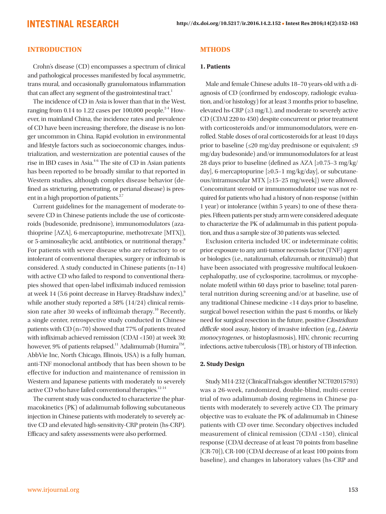#### **INTRODUCTION**

Crohn's disease (CD) encompasses a spectrum of clinical and pathological processes manifested by focal asymmetric, trans mural, and occasionally granulomatous inflammation that can affect any segment of the gastrointestinal tract.<sup>1</sup>

The incidence of CD in Asia is lower than that in the West, ranging from 0.14 to 1.22 cases per  $100,000$  people.<sup>2-4</sup> However, in mainland China, the incidence rates and prevalence of CD have been increasing; therefore, the disease is no longer uncommon in China. Rapid evolution in environmental and lifestyle factors such as socioeconomic changes, industrialization, and westernization are potential causes of the rise in IBD cases in Asia.4-6 The site of CD in Asian patients has been reported to be broadly similar to that reported in Western studies, although complex disease behavior (defined as stricturing, penetrating, or perianal disease) is present in a high proportion of patients. $27$ 

Current guidelines for the management of moderate-tosevere CD in Chinese patients include the use of corticosteroids (budesonide, prednisone), immunomodulators (azathioprine [AZA], 6-mercaptopurine, methotrexate [MTX]), or 5-aminosalicylic acid, antibiotics, or nutritional therapy.8 For patients with severe disease who are refractory to or intolerant of conventional therapies, surgery or infliximab is considered. A study conducted in Chinese patients (n=14) with active CD who failed to respond to conventional therapies showed that open-label infliximab induced remission at week 14 (5.6 point decrease in Harvey-Bradshaw index), $9$ while another study reported a 58% (14/24) clinical remission rate after 30 weeks of infliximab therapy.<sup>10</sup> Recently, a single center, retrospective study conducted in Chinese patients with CD (n=70) showed that 77% of patients treated with infliximab achieved remission (CDAI <150) at week 30; however, 9% of patients relapsed.<sup>11</sup> Adalimumab (Humira<sup>™,</sup> AbbVie Inc, North Chicago, Illinois, USA) is a fully human, anti-TNF monoclonal antibody that has been shown to be effective for induction and maintenance of remission in Western and Japanese patients with moderately to severely active CD who have failed conventional therapies.<sup>12-14</sup>

The current study was conducted to characterize the pharmacokinetics (PK) of adalimumab following subcutaneous injection in Chinese patients with moderately to severely active CD and elevated high-sensitivity-CRP protein (hs-CRP). Efficacy and safety assessments were also performed.

#### **MTHODS**

#### **1. Patients**

Male and female Chinese adults 18–70 years-old with a diagnosis of CD (confirmed by endoscopy, radiologic evaluation, and/or histology) for at least 3 months prior to baseline, elevated hs-CRP ( $\geq$ 3 mg/L), and moderate to severely active CD (CDAI 220 to 450) despite concurrent or prior treatment with corticosteroids and/or immunomodulators, were enrolled. Stable doses of oral corticosteroids for at least 10 days prior to baseline (≤20 mg/day prednisone or equivalent; ≤9 mg/day budesonide) and/or immunomodulators for at least 28 days prior to baseline (defined as AZA [≥0.75−3 mg/kg/ day], 6-mercaptopurine [≥0.5−1 mg/kg/day], or subcutaneous/intramuscular MTX [≥15−25 mg/week]) were allowed. Concomitant steroid or immunomodulator use was not required for patients who had a history of non-response (within 1 year) or intolerance (within 5 years) to one of these therapies. Fifteen patients per study arm were considered adequate to characterize the PK of adalimumab in this patient population, and thus a sample size of 30 patients was selected.

Exclusion criteria included UC or indeterminate colitis; prior exposure to any anti-tumor necrosis factor (TNF) agent or biologics (i.e., natalizumab, efalizumab, or rituximab) that have been associated with progressive multifocal leukoencephalopathy, use of cyclosporine, tacrolimus, or mycophenolate mofetil within 60 days prior to baseline; total parenteral nutrition during screening and/or at baseline, use of any traditional Chinese medicine <14 days prior to baseline, surgical bowel resection within the past 6 months, or likely need for surgical resection in the future, positive Clostridium difficile stool assay, history of invasive infection (e.g., Listeria monocytogenes, or histoplasmosis), HIV, chronic recurring infections, active tuberculosis (TB), or history of TB infection.

#### **2. Study Design**

Study M14-232 (ClinicalTrials.gov identifier NCT02015793) was a 26-week, randomized, double-blind, multi-center trial of two adalimumab dosing regimens in Chinese patients with moderately to severely active CD. The primary objective was to evaluate the PK of adalimumab in Chinese patients with CD over time. Secondary objectives included measurement of clinical remission (CDAI <150), clinical response (CDAI decrease of at least 70 points from baseline [CR-70]), CR-100 (CDAI decrease of at least 100 points from baseline), and changes in laboratory values (hs-CRP and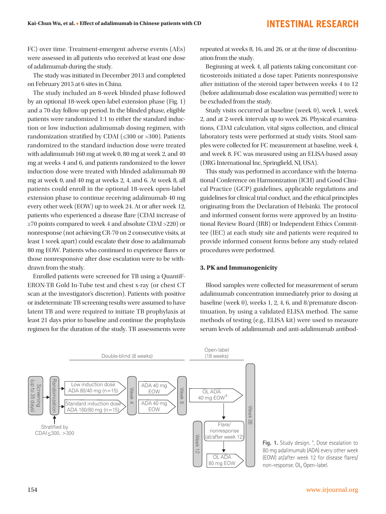FC) over time. Treatment-emergent adverse events (AEs) were assessed in all patients who received at least one dose of adalimumab during the study.

The study was initiated in December 2013 and completed on February 2015 at 6 sites in China.

The study included an 8-week blinded phase followed by an optional 18-week open-label extension phase (Fig. 1) and a 70-day follow-up period. In the blinded phase, eligible patients were randomized 1:1 to either the standard induction or low induction adalimumab dosing regimen, with randomization stratified by CDAI (≤300 or >300). Patients randomized to the standard induction dose were treated with adalimumab 160 mg at week 0, 80 mg at week 2, and 40 mg at weeks 4 and 6, and patients randomized to the lower induction dose were treated with blinded adalimumab 80 mg at week 0, and 40 mg at weeks 2, 4, and 6. At week 8, all patients could enroll in the optional 18-week open-label extension phase to continue receiving adalimumab 40 mg every other week (EOW) up to week 24. At or after week 12, patients who experienced a disease flare (CDAI increase of ≥70 points compared to week 4 and absolute CDAI >220) or nonresponse (not achieving CR-70 on 2 consecutive visits, at least 1 week apart) could escalate their dose to adalimumab 80 mg EOW. Patients who continued to experience flares or those nonresponsive after dose escalation were to be withdrawn from the study.

Enrolled patients were screened for TB using a QuantiF-ERON-TB Gold In-Tube test and chest x-ray (or chest CT scan at the investigator's discretion). Patients with positive or indeterminate TB screening results were assumed to have latent TB and were required to initiate TB prophylaxis at least 21 days prior to baseline and continue the prophylaxis regimen for the duration of the study. TB assessments were

repeated at weeks 8, 16, and 26, or at the time of discontinuation from the study.

Beginning at week 4, all patients taking concomitant corticosteroids initiated a dose taper. Patients nonresponsive after initiation of the steroid taper between weeks 4 to 12 (before adalimumab dose escalation was permitted) were to be excluded from the study.

Study visits occurred at baseline (week 0), week 1, week 2, and at 2-week intervals up to week 26. Physical examinations, CDAI calculation, vital signs collection, and clinical laboratory tests were performed at study visits. Stool samples were collected for FC measurement at baseline, week 4, and week 8. FC was measured using an ELISA-based assay (DRG International Inc, Springfield, NJ, USA).

This study was performed in accordance with the International Conference on Harmonization (ICH) and Good Clinical Practice (GCP) guidelines, applicable regulations and guidelines for clinical trial conduct, and the ethical principles originating from the Declaration of Helsinki. The protocol and informed consent forms were approved by an Institutional Review Board (IRB) or Independent Ethics Committee (IEC) at each study site and patients were required to provide informed consent forms before any study-related procedures were performed.

#### **3. PK and Immunogenicity**

Blood samples were collected for measurement of serum adalimumab concentration immediately prior to dosing at baseline (week 0), weeks 1, 2, 4, 6, and 8/premature discontinuation, by using a validated ELISA method. The same methods of testing (e.g., ELISA kit) were used to measure serum levels of adalimumab and anti-adalimumab antibod-



Fig. 1. Study design.<sup>a</sup>, Dose escalation to 80 mg adalimumab (ADA) every other week (EOW) at/after week 12 for disease flares/ non-response. OL, Open-label.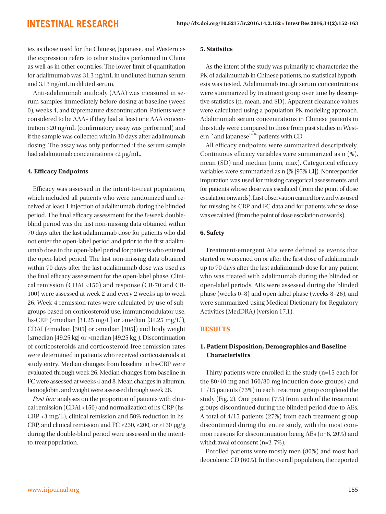ies as those used for the Chinese, Japanese, and Western as the expression refers to other studies performed in China as well as in other countries. The lower limit of quantitation for adalimumab was 31.3 ng/mL in undiluted human serum and 3.13 ng/mL in diluted serum.

Anti-adalimumab antibody (AAA) was measured in serum samples immediately before dosing at baseline (week 0), weeks 4, and 8/premature discontinuation. Patients were considered to be AAA+ if they had at least one AAA concentration >20 ng/mL (confirmatory assay was performed) and if the sample was collected within 30 days after adalimumab dosing. The assay was only performed if the serum sample had adalimumab concentrations <2  $\mu$ g/mL.

#### **4. Efficacy Endpoints**

Efficacy was assessed in the intent-to-treat population, which included all patients who were randomized and received at least 1 injection of adalimumab during the blinded period. The final efficacy assessment for the 8-week doubleblind period was the last non-missing data obtained within 70 days after the last adalimumab dose for patients who did not enter the open-label period and prior to the first adalimumab dose in the open-label period for patients who entered the open-label period. The last non-missing data obtained within 70 days after the last adalimumab dose was used as the final efficacy assessment for the open-label phase. Clinical remission (CDAI <150) and response (CR-70 and CR-100) were assessed at week 2 and every 2 weeks up to week 26. Week 4 remission rates were calculated by use of subgroups based on corticosteroid use, immunomodulator use, hs-CRP ( $\leq$ median [31.25 mg/L] or >median [31.25 mg/L]), CDAI (≤median [305] or >median [305]) and body weight (≤median [49.25 kg] or >median [49.25 kg]). Discontinuation of corticosteroids and corticosteroid-free remission rates were determined in patients who received corticosteroids at study entry. Median changes from baseline in hs-CRP were evaluated through week 26. Median changes from baseline in FC were assessed at weeks 4 and 8. Mean changes in albumin, hemoglobin, and weight were assessed through week 26.

Post hoc analyses on the proportion of patients with clinical remission (CDAI <150) and normalization of hs-CRP (hs-CRP <3 mg/L), clinical remission and 50% reduction in hs-CRP, and clinical remission and FC ≤250, ≤200, or ≤150  $\mu$ g/g during the double-blind period were assessed in the intentto-treat population.

#### **5. Statistics**

As the intent of the study was primarily to characterize the PK of adalimumab in Chinese patients, no statistical hypothesis was tested. Adalimumab trough serum concentrations were summarized by treatment group over time by descriptive statistics (n, mean, and SD). Apparent clearance values were calculated using a population PK modeling approach. Adalimumab serum concentrations in Chinese patients in this study were compared to those from past studies in West $ern^{15}$  and Japanese<sup>14,16</sup> patients with CD.

All efficacy endpoints were summarized descriptively. Continuous efficacy variables were summarized as n (%), mean (SD) and median (min, max). Categorical efficacy variables were summarized as n (% [95% CI]). Nonresponder imputation was used for missing categorical assessments and for patients whose dose was escalated (from the point of dose escalation onwards). Last observation carried forward was used for missing hs-CRP and FC data and for patients whose dose was escalated (from the point of dose escalation onwards).

#### **6. Safety**

Treatment-emergent AEs were defined as events that started or worsened on or after the first dose of adalimumab up to 70 days after the last adalimumab dose for any patient who was treated with adalimumab during the blinded or open-label periods. AEs were assessed during the blinded phase (weeks 0−8) and open-label phase (weeks 8−26), and were summarized using Medical Dictionary for Regulatory Activities (MedDRA) (version 17.1).

#### **RESULTS**

#### **1. Patient Disposition, Demographics and Baseline Characteristics**

Thirty patients were enrolled in the study (n=15 each for the 80/40 mg and 160/80 mg induction dose groups) and 11/15 patients (73%) in each treatment group completed the study (Fig. 2). One patient (7%) from each of the treatment groups discontinued during the blinded period due to AEs. A total of 4/15 patients (27%) from each treatment group discontinued during the entire study, with the most common reasons for discontinuation being AEs (n=6, 20%) and withdrawal of consent (n=2, 7%).

Enrolled patients were mostly men (80%) and most had ileocolonic CD (60%). In the overall population, the reported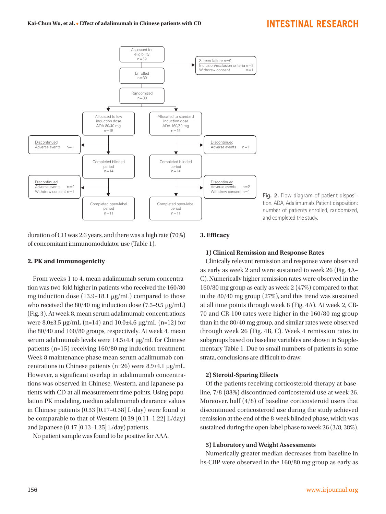

duration of CD was 2.6 years, and there was a high rate (70%) of concomitant immunomodulator use (Table 1).

#### **2. PK and Immunogenicity**

From weeks 1 to 4, mean adalimumab serum concentration was two-fold higher in patients who received the 160/80 mg induction dose (13.9−18.1 µg/mL) compared to those who received the 80/40 mg induction dose (7.5−9.5 µg/mL) (Fig. 3). At week 8, mean serum adalimumab concentrations were 8.0 $\pm$ 3.5 µg/mL (n=14) and 10.0 $\pm$ 4.6 µg/mL (n=12) for the 80/40 and 160/80 groups, respectively. At week 4, mean serum adalimumab levels were 14.5±4.4 µg/mL for Chinese patients (n=15) receiving 160/80 mg induction treatment. Week 8 maintenance phase mean serum adalimumab concentrations in Chinese patients (n=26) were 8.9±4.1 µg/mL. However, a significant overlap in adalimumab concentrations was observed in Chinese, Western, and Japanese patients with CD at all measurement time points. Using population PK modeling, median adalimumab clearance values in Chinese patients (0.33 [0.17−0.58] L/day) were found to be comparable to that of Western (0.39 [0.11−1.22] L/day) and Japanese (0.47 [0.13−1.25] L/day) patients.

No patient sample was found to be positive for AAA.

#### **3. Efficacy**

#### **1) Clinical Remission and Response Rates**

Clinically relevant remission and response were observed as early as week 2 and were sustained to week 26 (Fig. 4A– C). Numerically higher remission rates were observed in the 160/80 mg group as early as week 2 (47%) compared to that in the 80/40 mg group (27%), and this trend was sustained at all time points through week 8 (Fig. 4A). At week 2, CR-70 and CR-100 rates were higher in the 160/80 mg group than in the 80/40 mg group, and similar rates were observed through week 26 (Fig. 4B, C). Week 4 remission rates in subgroups based on baseline variables are shown in Supplementary Table 1. Due to small numbers of patients in some strata, conclusions are difficult to draw.

#### **2) Steroid-Sparing Effects**

Of the patients receiving corticosteroid therapy at baseline, 7/8 (88%) discontinued corticosteroid use at week 26. Moreover, half (4/8) of baseline corticosteroid users that discontinued corticosteroid use during the study achieved remission at the end of the 8-week blinded phase, which was sustained during the open-label phase to week 26 (3/8, 38%).

#### **3) Laboratory and Weight Assessments**

Numerically greater median decreases from baseline in hs-CRP were observed in the 160/80 mg group as early as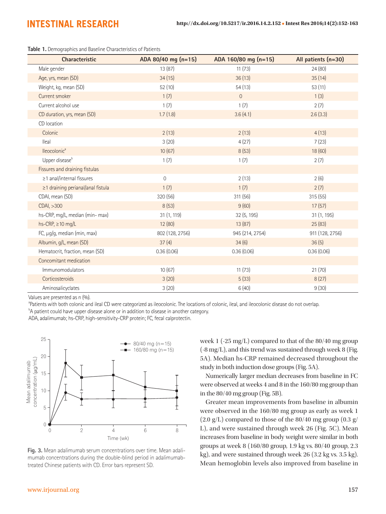**Table 1.** Demographics and Baseline Characteristics of Patients

| <b>Characteristic</b>             | ADA 80/40 mg (n=15) | ADA 160/80 mg (n=15) | All patients (n=30) |
|-----------------------------------|---------------------|----------------------|---------------------|
| Male gender                       | 13 (87)             | 11(73)               | 24(80)              |
| Age, yrs, mean (SD)               | 34(15)              | 36(13)               | 35(14)              |
| Weight, kg, mean (SD)             | 52(10)              | 54(13)               | 53(11)              |
| Current smoker                    | 1(7)                | $\overline{0}$       | 1(3)                |
| Current alcohol use               | 1(7)                | 1(7)                 | 2(7)                |
| CD duration, yrs, mean (SD)       | 1.7(1.8)            | 3.6(4.1)             | 2.6(3.3)            |
| CD location                       |                     |                      |                     |
| Colonic                           | 2(13)               | 2(13)                | 4(13)               |
| lleal                             | 3(20)               | 4(27)                | 7(23)               |
| lleocolonic <sup>a</sup>          | 10(67)              | 8(53)                | 18 (60)             |
| Upper disease <sup>b</sup>        | 1(7)                | 1(7)                 | 2(7)                |
| Fissures and draining fistulas    |                     |                      |                     |
| ≥1 anal/internal fissures         | $\mathbf 0$         | 2(13)                | 2(6)                |
| ≥1 draining perianal/anal fistula | 1(7)                | 1(7)                 | 2(7)                |
| CDAI, mean (SD)                   | 320 (56)            | 311 (56)             | 315(55)             |
| CDAI, >300                        | 8(53)               | 9(60)                | 17(57)              |
| hs-CRP, mg/L, median (min- max)   | 31 (1, 119)         | 32 (5, 195)          | 31 (1, 195)         |
| hs-CRP, $\geq$ 10 mg/L            | 12 (80)             | 13(87)               | 25(83)              |
| FC, µg/g, median (min, max)       | 802 (128, 2756)     | 945 (214, 2754)      | 911 (128, 2756)     |
| Albumin, g/L, mean (SD)           | 37(4)               | 34(6)                | 36(5)               |
| Hematocrit, fraction, mean (SD)   | 0.36(0.06)          | 0.36(0.06)           | 0.36(0.06)          |
| Concomitant medication            |                     |                      |                     |
| Immunomodulators                  | 10(67)              | 11(73)               | 21(70)              |
| Corticosteroids                   | 3(20)               | 5(33)                | 8(27)               |
| Aminosalicyclates                 | 3(20)               | 6(40)                | 9(30)               |

Values are presented as n (%).

<sup>a</sup>Patients with both colonic and ileal CD were categorized as ileocolonic. The locations of colonic, ileal, and ileocolonic disease do not overlap.

 $^{\circ}$ A patient could have upper disease alone or in addition to disease in another category.

ADA, adalimumab; hs-CRP, high-sensitivity-CRP protein; FC, fecal calprotectin.



**Fig. 3.** Mean adalimumab serum concentrations over time. Mean adalimumab concentrations during the double-blind period in adalimumabtreated Chinese patients with CD. Error bars represent SD.

week 1 (-25 mg/L) compared to that of the 80/40 mg group (-8 mg/L), and this trend was sustained through week 8 (Fig. 5A). Median hs-CRP remained decreased throughout the study in both induction dose groups (Fig. 5A).

Numerically larger median decreases from baseline in FC were observed at weeks 4 and 8 in the 160/80 mg group than in the 80/40 mg group (Fig. 5B).

Greater mean improvements from baseline in albumin were observed in the 160/80 mg group as early as week 1  $(2.0 \text{ g/L})$  compared to those of the 80/40 mg group  $(0.3 \text{ g/m})$ L), and were sustained through week 26 (Fig. 5C). Mean increases from baseline in body weight were similar in both groups at week 8 (160/80 group, 1.9 kg vs. 80/40 group, 2.3 kg), and were sustained through week 26 (3.2 kg vs. 3.5 kg). Mean hemoglobin levels also improved from baseline in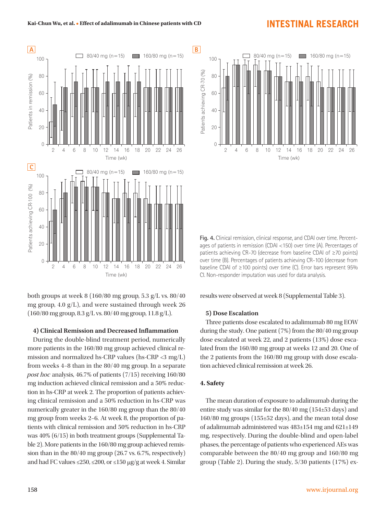

both groups at week 8 (160/80 mg group, 5.3 g/L vs.  $80/40$ mg group, 4.0 g/L), and were sustained through week 26 (160/80 mg group, 8.3 g/L vs. 80/40 mg group, 11.8 g/L).

#### **4) Clinical Remission and Decreased Inflammation**

During the double-blind treatment period, numerically more patients in the 160/80 mg group achieved clinical remission and normalized hs-CRP values (hs-CRP <3 mg/L) from weeks 4−8 than in the 80/40 mg group. In a separate post hoc analysis, 46.7% of patients (7/15) receiving 160/80 mg induction achieved clinical remission and a 50% reduction in hs-CRP at week 2. The proportion of patients achieving clinical remission and a 50% reduction in hs-CRP was numerically greater in the 160/80 mg group than the 80/40 mg group from weeks 2−6. At week 8, the proportion of patients with clinical remission and 50% reduction in hs-CRP was 40% (6/15) in both treatment groups (Supplemental Table 2). More patients in the 160/80 mg group achieved remission than in the 80/40 mg group (26.7 vs. 6.7%, respectively) and had FC values  $\leq$ 250,  $\leq$ 200, or  $\leq$ 150  $\mu$ g/g at week 4. Similar



**Fig. 4.** Clinical remission, clinical response, and CDAI over time. Percentages of patients in remission (CDAI <150) over time (A). Percentages of patients achieving CR-70 (decrease from baseline CDAI of ≥70 points) over time (B). Percentages of patients achieving CR-100 (decrease from baseline CDAI of ≥100 points) over time (C). Error bars represent 95% CI. Non-responder imputation was used for data analysis.

#### results were observed at week 8 (Supplemental Table 3).

#### **5) Dose Escalation**

Three patients dose escalated to adalimumab 80 mg EOW during the study. One patient (7%) from the 80/40 mg group dose escalated at week 22, and 2 patients (13%) dose escalated from the 160/80 mg group at weeks 12 and 20. One of the 2 patients from the 160/80 mg group with dose escalation achieved clinical remission at week 26.

#### **4. Safety**

The mean duration of exposure to adalimumab during the entire study was similar for the 80/40 mg (154±53 days) and 160/80 mg groups (155±52 days), and the mean total dose of adalimumab administered was 483±154 mg and 621±149 mg, respectively. During the double-blind and open-label phases, the percentage of patients who experienced AEs was comparable between the 80/40 mg group and 160/80 mg group (Table 2). During the study, 5/30 patients (17%) ex-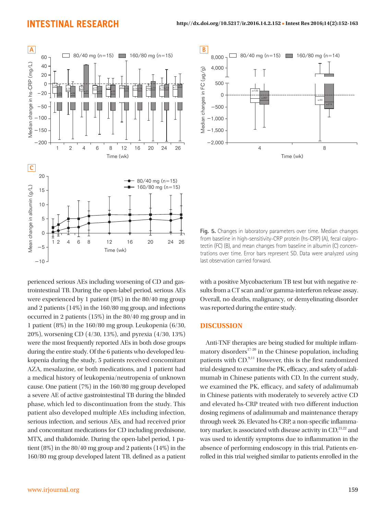

perienced serious AEs including worsening of CD and gastrointestinal TB. During the open-label period, serious AEs were experienced by 1 patient (8%) in the 80/40 mg group and 2 patients (14%) in the 160/80 mg group, and infections occurred in 2 patients (15%) in the 80/40 mg group and in 1 patient (8%) in the 160/80 mg group. Leukopenia (6/30, 20%), worsening CD (4/30, 13%), and pyrexia (4/30, 13%) were the most frequently reported AEs in both dose groups during the entire study. Of the 6 patients who developed leukopenia during the study, 5 patients received concomitant AZA, mesalazine, or both medications, and 1 patient had a medical history of leukopenia/neutropenia of unknown cause. One patient (7%) in the 160/80 mg group developed a severe AE of active gastrointestinal TB during the blinded phase, which led to discontinuation from the study. This patient also developed multiple AEs including infection, serious infection, and serious AEs, and had received prior and concomitant medications for CD including prednisone, MTX, and thalidomide. During the open-label period, 1 patient (8%) in the 80/40 mg group and 2 patients (14%) in the 160/80 mg group developed latent TB, defined as a patient



**Fig. 5.** Changes in laboratory parameters over time. Median changes from baseline in high-sensitivity-CRP protein (hs-CRP) (A), fecal calprotectin (FC) (B), and mean changes from baseline in albumin (C) concentrations over time. Error bars represent SD. Data were analyzed using last observation carried forward.

with a positive Mycobacterium TB test but with negative results from a CT scan and/or gamma-interferon release assay. Overall, no deaths, malignancy, or demyelinating disorder was reported during the entire study.

#### **DISCUSSION**

Anti-TNF therapies are being studied for multiple inflammatory disorders $17-20$  in the Chinese population, including patients with CD.<sup>9,11</sup> However, this is the first randomized trial designed to examine the PK, efficacy, and safety of adalimumab in Chinese patients with CD. In the current study, we examined the PK, efficacy, and safety of adalimumab in Chinese patients with moderately to severely active CD and elevated hs-CRP treated with two different induction dosing regimens of adalimumab and maintenance therapy through week 26. Elevated hs-CRP, a non-specific inflammatory marker, is associated with disease activity in  $CD$ ,  $21,22$  and was used to identify symptoms due to inflammation in the absence of performing endoscopy in this trial. Patients enrolled in this trial weighed similar to patients enrolled in the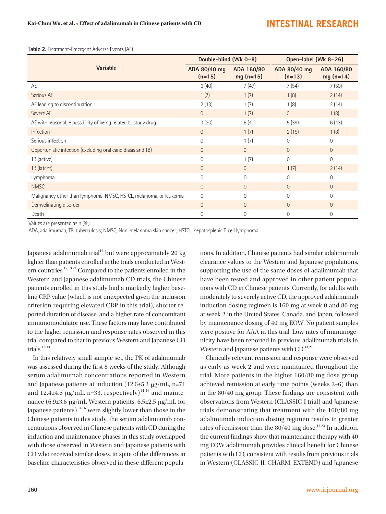**Table 2.** Treatment-Emergent Adverse Events (AE)

|                                                                    | Double-blind (Wk 0-8)    |                          | Open-label (Wk 8-26)     |                          |
|--------------------------------------------------------------------|--------------------------|--------------------------|--------------------------|--------------------------|
| Variable                                                           | ADA 80/40 mg<br>$(n=15)$ | ADA 160/80<br>$mg(n=15)$ | ADA 80/40 mg<br>$(n=13)$ | ADA 160/80<br>$mg(n=14)$ |
| AE                                                                 | 6(40)                    | 7(47)                    | 7(54)                    | 7(50)                    |
| Serious AE                                                         | 1(7)                     | 1(7)                     | 1(8)                     | 2(14)                    |
| AE leading to discontinuation                                      | 2(13)                    | 1(7)                     | 1(8)                     | 2(14)                    |
| Severe AE                                                          | $\Omega$                 | 1(7)                     | $\Omega$                 | 1(8)                     |
| AE with reasonable possibility of being related to study drug      | 3(20)                    | 6(40)                    | 5(39)                    | 6(43)                    |
| Infection                                                          | $\overline{0}$           | 1(7)                     | 2(15)                    | 1(8)                     |
| Serious infection                                                  | 0                        | 1(7)                     | $\mathbf 0$              | $\overline{0}$           |
| Opportunistic infection (excluding oral candidiasis and TB)        | $\overline{0}$           | $\overline{0}$           | $\overline{0}$           | $\overline{0}$           |
| TB (active)                                                        | $\Omega$                 | 1(7)                     | $\Omega$                 | $\Omega$                 |
| TB (latent)                                                        | $\overline{0}$           | $\Omega$                 | 1(7)                     | 2(14)                    |
| Lymphoma                                                           | $\Omega$                 | $\Omega$                 | $\Omega$                 | $\Omega$                 |
| <b>NMSC</b>                                                        | $\Omega$                 | $\Omega$                 | $\Omega$                 | $\overline{0}$           |
| Malignancy other than lymphoma, NMSC, HSTCL, melanoma, or leukemia | $\overline{0}$           | $\Omega$                 | $\Omega$                 | $\overline{0}$           |
| Demyelinating disorder                                             | $\Omega$                 | $\Omega$                 | $\Omega$                 | $\Omega$                 |
| Death                                                              | $\Omega$                 | $\Omega$                 | $\Omega$                 | $\overline{0}$           |

Values are presented as n (%).

ADA, adalimumab; TB, tuberculosis; NMSC, Non-melanoma skin cancer; HSTCL, hepatosplenic T-cell lymphoma.

Japanese adalimumab trial $14$  but were approximately 20 kg lighter than patients enrolled in the trials conducted in Western countries.12,13,23 Compared to the patients enrolled in the Western and Japanese adalimumab CD trials, the Chinese patients enrolled in this study had a markedly higher baseline CRP value (which is not unexpected given the inclusion criterion requiring elevated CRP in this trial), shorter reported duration of disease, and a higher rate of concomitant immunomodulator use. These factors may have contributed to the higher remission and response rates observed in this trial compared to that in previous Western and Japanese CD trials. $12-14$ 

In this relatively small sample set, the PK of adalimumab was assessed during the first 8 weeks of the study. Although serum adalimumab concentrations reported in Western and Japanese patients at induction (12.6±5.3 µg/mL, n=71 and 12.4 $\pm$ 4.5  $\mu$ g/mL, n=33, respectively)<sup>14-16</sup> and maintenance (6.9±3.6 µg/mL Western patients; 6.5±2.5 µg/mL for Japanese patients) $14-16$  were slightly lower than those in the Chinese patients in this study, the serum adalimumab concentrations observed in Chinese patients with CD during the induction and maintenance phases in this study overlapped with those observed in Western and Japanese patients with CD who received similar doses, in spite of the differences in baseline characteristics observed in these different popula-

tions. In addition, Chinese patients had similar adalimumab clearance values to the Western and Japanese populations, supporting the use of the same doses of adalimumab that have been tested and approved in other patient populations with CD in Chinese patients. Currently, for adults with moderately to severely active CD, the approved adalimumab induction dosing regimen is 160 mg at week 0 and 80 mg at week 2 in the United States, Canada, and Japan, followed by maintenance dosing of 40 mg EOW. No patient samples were positive for AAA in this trial. Low rates of immunogenicity have been reported in previous adalimumab trials in Western and Japanese patients with  $CD$ .<sup>14,24</sup>

Clinically relevant remission and response were observed as early as week 2 and were maintained throughout the trial. More patients in the higher 160/80 mg dose group achieved remission at early time points (weeks 2−6) than in the 80/40 mg group. These findings are consistent with observations from Western (CLASSIC-I trial) and Japanese trials demonstrating that treatment with the 160/80 mg adalimumab induction dosing regimen results in greater rates of remission than the  $80/40$  mg dose.<sup>14,23</sup> In addition, the current findings show that maintenance therapy with 40 mg EOW adalimumab provides clinical benefit for Chinese patients with CD, consistent with results from previous trials in Western (CLASSIC-II, CHARM, EXTEND) and Japanese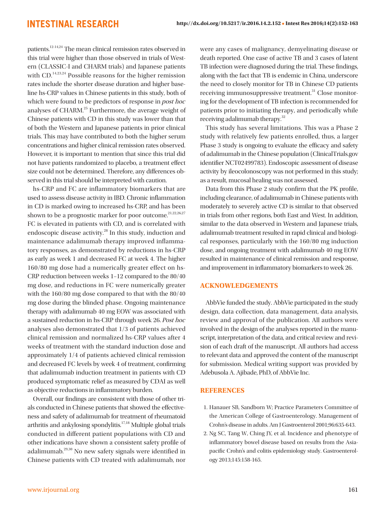patients.12-14,24 The mean clinical remission rates observed in this trial were higher than those observed in trials of Western (CLASSIC-I and CHARM trials) and Japanese patients with CD.<sup>14,23,24</sup> Possible reasons for the higher remission rates include the shorter disease duration and higher baseline hs-CRP values in Chinese patients in this study, both of which were found to be predictors of response in post hoc analyses of CHARM.25 Furthermore, the average weight of Chinese patients with CD in this study was lower than that of both the Western and Japanese patients in prior clinical trials. This may have contributed to both the higher serum concentrations and higher clinical remission rates observed. However, it is important to mention that since this trial did not have patients randomized to placebo, a treatment effect size could not be determined. Therefore, any differences observed in this trial should be interpreted with caution.

hs-CRP and FC are inflammatory biomarkers that are used to assess disease activity in IBD. Chronic inflammation in CD is marked owing to increased hs-CRP, and has been shown to be a prognostic marker for poor outcome.<sup>21,22,26,27</sup> FC is elevated in patients with CD, and is correlated with endoscopic disease activity.<sup>28</sup> In this study, induction and maintenance adalimumab therapy improved inflammatory responses, as demonstrated by reductions in hs-CRP as early as week 1 and decreased FC at week 4. The higher 160/80 mg dose had a numerically greater effect on hs-CRP reduction between weeks 1−12 compared to the 80/40 mg dose, and reductions in FC were numerically greater with the 160/80 mg dose compared to that with the 80/40 mg dose during the blinded phase. Ongoing maintenance therapy with adalimumab 40 mg EOW was associated with a sustained reduction in hs-CRP through week 26. Post hoc analyses also demonstrated that 1/3 of patients achieved clinical remission and normalized hs-CRP values after 4 weeks of treatment with the standard induction dose and approximately 1/4 of patients achieved clinical remission and decreased FC levels by week 4 of treatment, confirming that adalimumab induction treatment in patients with CD produced symptomatic relief as measured by CDAI as well as objective reductions in inflammatory burden.

Overall, our findings are consistent with those of other trials conducted in Chinese patients that showed the effectiveness and safety of adalimumab for treatment of rheumatoid arthritis and ankylosing spondylitis.17,18 Multiple global trials conducted in different patient populations with CD and other indications have shown a consistent safety profile of adalimumab.29,30 No new safety signals were identified in Chinese patients with CD treated with adalimumab, nor

were any cases of malignancy, demyelinating disease or death reported. One case of active TB and 3 cases of latent TB infection were diagnosed during the trial. These findings, along with the fact that TB is endemic in China, underscore the need to closely monitor for TB in Chinese CD patients receiving immunosuppressive treatment.<sup>31</sup> Close monitoring for the development of TB infection is recommended for patients prior to initiating therapy, and periodically while receiving adalimumab therapy.<sup>32</sup>

This study has several limitations. This was a Phase 2 study with relatively few patients enrolled, thus, a larger Phase 3 study is ongoing to evaluate the efficacy and safety of adalimumab in the Chinese population (ClinicalTrials.gov identifier NCT02499783). Endoscopic assessment of disease activity by ileocolonoscopy was not performed in this study; as a result, mucosal healing was not assessed.

Data from this Phase 2 study confirm that the PK profile, including clearance, of adalimumab in Chinese patients with moderately to severely active CD is similar to that observed in trials from other regions, both East and West. In addition, similar to the data observed in Western and Japanese trials, adalimumab treatment resulted in rapid clinical and biological responses, particularly with the 160/80 mg induction dose, and ongoing treatment with adalimumab 40 mg EOW resulted in maintenance of clinical remission and response, and improvement in inflammatory biomarkers to week 26.

#### **ACKNOWLEDGEMENTS**

AbbVie funded the study. AbbVie participated in the study design, data collection, data management, data analysis, review and approval of the publication. All authors were involved in the design of the analyses reported in the manuscript, interpretation of the data, and critical review and revision of each draft of the manuscript. All authors had access to relevant data and approved the content of the manuscript for submission. Medical writing support was provided by Adebusola A. Ajibade, PhD, of AbbVie Inc.

#### **REFERENCES**

- 1. Hanauer SB, Sandborn W; Practice Parameters Committee of the American College of Gastroenterology. Management of Crohn's disease in adults. Am J Gastroenterol 2001;96:635-643.
- 2. Ng SC, Tang W, Ching JY, et al. Incidence and phenotype of inflammatory bowel disease based on results from the Asiapacific Crohn's and colitis epidemiology study. Gastroenterology 2013;145:158-165.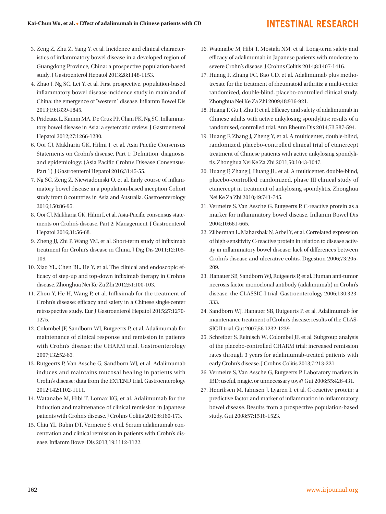- 3. Zeng Z, Zhu Z, Yang Y, et al. Incidence and clinical characteristics of inflammatory bowel disease in a developed region of Guangdong Province, China: a prospective population-based study. J Gastroenterol Hepatol 2013;28:1148-1153.
- 4. Zhao J, Ng SC, Lei Y, et al. First prospective, population-based inflammatory bowel disease incidence study in mainland of China: the emergence of "western" disease. Inflamm Bowel Dis 2013;19:1839-1845.
- 5. Prideaux L, Kamm MA, De Cruz PP, Chan FK, Ng SC. Inflammatory bowel disease in Asia: a systematic review. J Gastroenterol Hepatol 2012;27:1266-1280.
- 6. Ooi CJ, Makharia GK, Hilmi I, et al. Asia Pacific Consensus Statements on Crohn's disease. Part 1: Definition, diagnosis, and epidemiology: (Asia Pacific Crohn's Disease Consensus-Part 1). J Gastroenterol Hepatol 2016;31:45-55.
- 7. Ng SC, Zeng Z, Niewiadomski O, et al. Early course of inflammatory bowel disease in a population-based inception Cohort study from 8 countries in Asia and Australia. Gastroenterology 2016;150:86-95.
- 8. Ooi CJ, Makharia GK, Hilmi I, et al. Asia-Pacific consensus statements on Crohn's disease. Part 2: Management. J Gastroenterol Hepatol 2016;31:56-68.
- 9. Zheng JJ, Zhi P, Wang YM, et al. Short-term study of infliximab treatment for Crohn's disease in China. J Dig Dis 2011;12:105- 109.
- 10. Xiao YL, Chen BL, He Y, et al. The clinical and endoscopic efficacy of step-up and top-down infliximab therapy in Crohn's disease. Zhonghua Nei Ke Za Zhi 2012;51:100-103.
- 11. Zhou Y, He H, Wang P, et al. Infliximab for the treatment of Crohn's disease: efficacy and safety in a Chinese single-center retrospective study. Eur J Gastroenterol Hepatol 2015;27:1270- 1275.
- 12. Colombel JF, Sandborn WJ, Rutgeerts P, et al. Adalimumab for maintenance of clinical response and remission in patients with Crohn's disease: the CHARM trial. Gastroenterology 2007;132:52-65.
- 13. Rutgeerts P, Van Assche G, Sandborn WJ, et al. Adalimumab induces and maintains mucosal healing in patients with Crohn's disease: data from the EXTEND trial. Gastroenterology 2012;142:1102-1111.
- 14. Watanabe M, Hibi T, Lomax KG, et al. Adalimumab for the induction and maintenance of clinical remission in Japanese patients with Crohn's disease. J Crohns Colitis 2012;6:160-173.
- 15. Chiu YL, Rubin DT, Vermeire S, et al. Serum adalimumab concentration and clinical remission in patients with Crohn's disease. Inflamm Bowel Dis 2013;19:1112-1122.
- 16. Watanabe M, Hibi T, Mostafa NM, et al. Long-term safety and efficacy of adalimumab in Japanese patients with moderate to severe Crohn's disease. J Crohns Colitis 2014;8:1407-1416.
- 17. Huang F, Zhang FC, Bao CD, et al. Adalimumab plus methotrexate for the treatment of rheumatoid arthritis: a multi-center randomized, double-blind, placebo-controlled clinical study. Zhonghua Nei Ke Za Zhi 2009;48:916-921.
- 18. Huang F, Gu J, Zhu P, et al. Efficacy and safety of adalimumab in Chinese adults with active ankylosing spondylitis: results of a randomised, controlled trial. Ann Rheum Dis 2014;73:587-594.
- 19. Huang F, Zhang J, Zheng Y, et al. A multicenter, double-blind, randomized, placebo-controlled clinical trial of etanercept treatment of Chinese patients with active ankylosing spondylitis. Zhonghua Nei Ke Za Zhi 2011;50:1043-1047.
- 20. Huang F, Zhang J, Huang JL, et al. A multicenter, double-blind, placebo-controlled, randomized, phase III clinical study of etanercept in treatment of ankylosing spondylitis. Zhonghua Nei Ke Za Zhi 2010;49:741-745.
- 21. Vermeire S, Van Assche G, Rutgeerts P. C-reactive protein as a marker for inflammatory bowel disease. Inflamm Bowel Dis 2004;10:661-665.
- 22. Zilberman L, Maharshak N, Arbel Y, et al. Correlated expression of high-sensitivity C-reactive protein in relation to disease activity in inflammatory bowel disease: lack of differences between Crohn's disease and ulcerative colitis. Digestion 2006;73:205- 209.
- 23. Hanauer SB, Sandborn WJ, Rutgeerts P, et al. Human anti-tumor necrosis factor monoclonal antibody (adalimumab) in Crohn's disease: the CLASSIC-I trial. Gastroenterology 2006;130:323- 333.
- 24. Sandborn WJ, Hanauer SB, Rutgeerts P, et al. Adalimumab for maintenance treatment of Crohn's disease: results of the CLAS-SIC II trial. Gut 2007;56:1232-1239.
- 25. Schreiber S, Reinisch W, Colombel JF, et al. Subgroup analysis of the placebo-controlled CHARM trial: increased remission rates through 3 years for adalimumab-treated patients with early Crohn's disease. J Crohns Colitis 2013;7:213-221.
- 26. Vermeire S, Van Assche G, Rutgeerts P. Laboratory markers in IBD: useful, magic, or unnecessary toys? Gut 2006;55:426-431.
- 27. Henriksen M, Jahnsen J, Lygren I, et al. C-reactive protein: a predictive factor and marker of inflammation in inflammatory bowel disease. Results from a prospective population-based study. Gut 2008;57:1518-1523.